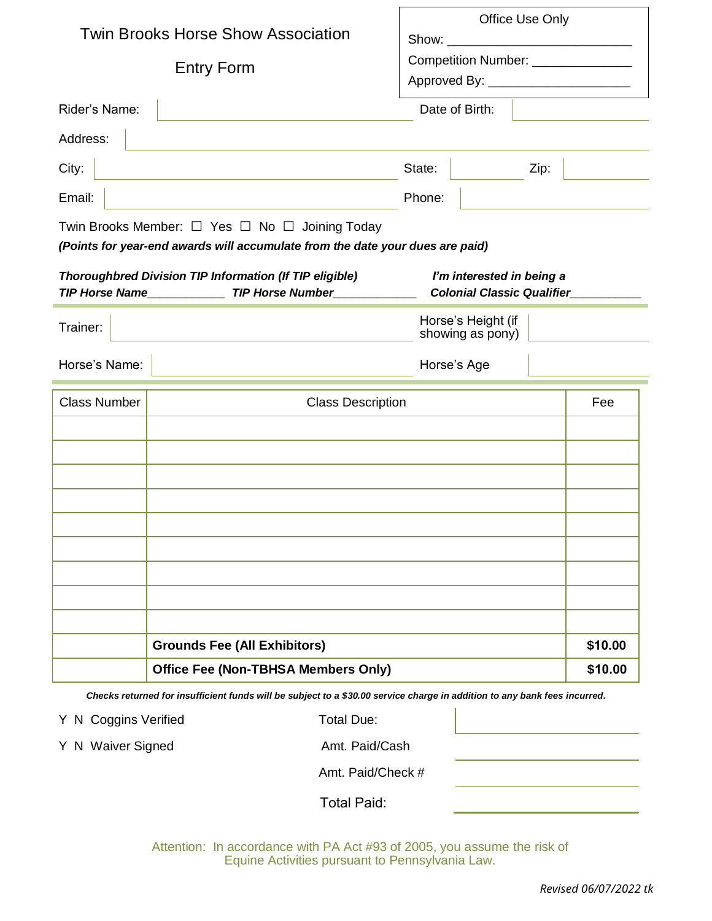|                                                                                                                                                                     |                                            | Office Use Only                       |         |
|---------------------------------------------------------------------------------------------------------------------------------------------------------------------|--------------------------------------------|---------------------------------------|---------|
| <b>Twin Brooks Horse Show Association</b><br><b>Entry Form</b>                                                                                                      |                                            |                                       |         |
|                                                                                                                                                                     |                                            | Competition Number: ______________    |         |
|                                                                                                                                                                     |                                            | Approved By: ________________________ |         |
| Rider's Name:                                                                                                                                                       |                                            | Date of Birth:                        |         |
| Address:                                                                                                                                                            |                                            |                                       |         |
| City:                                                                                                                                                               |                                            | State:<br>Zip:                        |         |
| Email:                                                                                                                                                              |                                            | Phone:                                |         |
| Twin Brooks Member: $\Box$ Yes $\Box$ No $\Box$ Joining Today<br>(Points for year-end awards will accumulate from the date your dues are paid)                      |                                            |                                       |         |
| <b>Thoroughbred Division TIP Information (If TIP eligible)</b><br>I'm interested in being a<br>TIP Horse Name TIP Horse Number<br><b>Colonial Classic Qualifier</b> |                                            |                                       |         |
| Trainer:                                                                                                                                                            | Horse's Height (if<br>showing as pony)     |                                       |         |
| Horse's Name:                                                                                                                                                       |                                            | Horse's Age                           |         |
| <b>Class Number</b>                                                                                                                                                 | <b>Class Description</b>                   |                                       | Fee     |
|                                                                                                                                                                     |                                            |                                       |         |
|                                                                                                                                                                     |                                            |                                       |         |
|                                                                                                                                                                     |                                            |                                       |         |
|                                                                                                                                                                     |                                            |                                       |         |
|                                                                                                                                                                     |                                            |                                       |         |
|                                                                                                                                                                     |                                            |                                       |         |
|                                                                                                                                                                     |                                            |                                       |         |
|                                                                                                                                                                     | <b>Grounds Fee (All Exhibitors)</b>        |                                       | \$10.00 |
|                                                                                                                                                                     | <b>Office Fee (Non-TBHSA Members Only)</b> |                                       |         |
| Checks returned for insufficient funds will be subject to a \$30.00 service charge in addition to any bank fees incurred.                                           |                                            |                                       |         |

Y N Coggins Verified Total Due:

Y N Waiver Signed TB Amt. Paid/Cash

Amt. Paid/Check #

Total Paid:

Attention: In accordance with PA Act #93 of 2005, you assume the risk of Equine Activities pursuant to Pennsylvania Law.